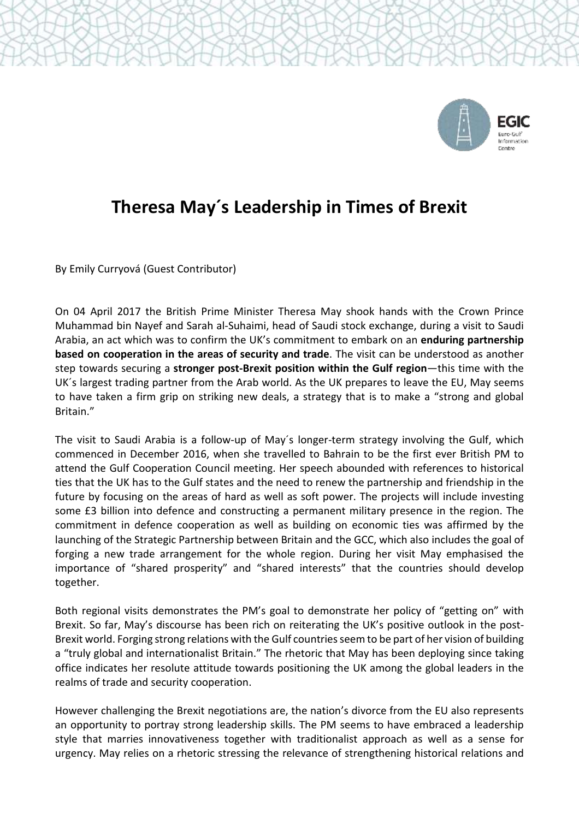

## **Theresa May´s Leadership in Times of Brexit**

By Emily Curryová (Guest Contributor)

On 04 April 2017 the British Prime Minister Theresa May shook hands with the Crown Prince Muhammad bin Nayef and Sarah al-Suhaimi, head of Saudi stock exchange, during a visit to Saudi Arabia, an act which was to confirm the UK's commitment to embark on an **enduring partnership based on cooperation in the areas of security and trade**. The visit can be understood as another step towards securing a **stronger post-Brexit position within the Gulf region**—this time with the UK´s largest trading partner from the Arab world. As the UK prepares to leave the EU, May seems to have taken a firm grip on striking new deals, a strategy that is to make a "strong and global Britain."

The visit to Saudi Arabia is a follow-up of May´s longer-term strategy involving the Gulf, which commenced in December 2016, when she travelled to Bahrain to be the first ever British PM to attend the Gulf Cooperation Council meeting. Her speech abounded with references to historical ties that the UK has to the Gulf states and the need to renew the partnership and friendship in the future by focusing on the areas of hard as well as soft power. The projects will include investing some £3 billion into defence and constructing a permanent military presence in the region. The commitment in defence cooperation as well as building on economic ties was affirmed by the launching of the Strategic Partnership between Britain and the GCC, which also includes the goal of forging a new trade arrangement for the whole region. During her visit May emphasised the importance of "shared prosperity" and "shared interests" that the countries should develop together.

Both regional visits demonstrates the PM's goal to demonstrate her policy of "getting on" with Brexit. So far, May's discourse has been rich on reiterating the UK's positive outlook in the post-Brexit world. Forging strong relations with the Gulf countriesseem to be part of her vision of building a "truly global and internationalist Britain." The rhetoric that May has been deploying since taking office indicates her resolute attitude towards positioning the UK among the global leaders in the realms of trade and security cooperation.

However challenging the Brexit negotiations are, the nation's divorce from the EU also represents an opportunity to portray strong leadership skills. The PM seems to have embraced a leadership style that marries innovativeness together with traditionalist approach as well as a sense for urgency. May relies on a rhetoric stressing the relevance of strengthening historical relations and